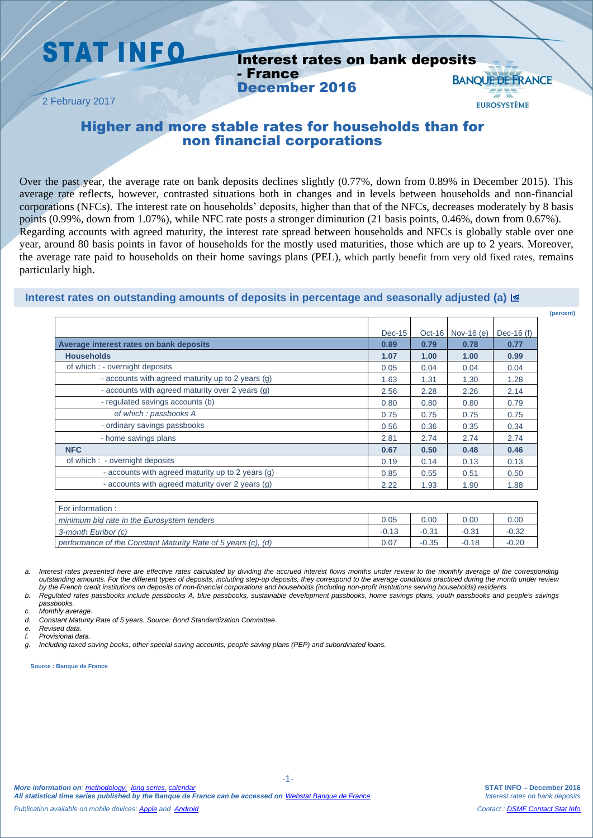## **STAT INFO**

2 February 2017

#### Interest rates on bank deposits - France **BANOUE DE FRANCE** December 2016

### Higher and more stable rates for households than for non financial corporations

Over the past year, the average rate on bank deposits declines slightly (0.77%, down from 0.89% in December 2015). This average rate reflects, however, contrasted situations both in changes and in levels between households and non-financial corporations (NFCs). The interest rate on households' deposits, higher than that of the NFCs, decreases moderately by 8 basis points (0.99%, down from 1.07%), while NFC rate posts a stronger diminution (21 basis points, 0.46%, down from 0.67%). Regarding accounts with agreed maturity, the interest rate spread between households and NFCs is globally stable over one year, around 80 basis points in favor of households for the mostly used maturities, those which are up to 2 years. Moreover, the average rate paid to households on their home savings plans (PEL), which partly benefit from very old fixed rates, remains particularly high.

#### **Interest rates on outstanding amounts of deposits in percentage and seasonally adjusted (a)**

|                                                   | $Dec-15$ | $Oct-16$ | Nov-16 $(e)$ | Dec-16 $(f)$ |
|---------------------------------------------------|----------|----------|--------------|--------------|
| Average interest rates on bank deposits           | 0.89     | 0.79     | 0.78         | 0.77         |
| <b>Households</b>                                 | 1.07     | 1.00     | 1.00         | 0.99         |
| of which : - overnight deposits                   | 0.05     | 0.04     | 0.04         | 0.04         |
| - accounts with agreed maturity up to 2 years (g) | 1.63     | 1.31     | 1.30         | 1.28         |
| - accounts with agreed maturity over 2 years (g)  | 2.56     | 2.28     | 2.26         | 2.14         |
| - regulated savings accounts (b)                  | 0.80     | 0.80     | 0.80         | 0.79         |
| of which: passbooks A                             | 0.75     | 0.75     | 0.75         | 0.75         |
| - ordinary savings passbooks                      | 0.56     | 0.36     | 0.35         | 0.34         |
| - home savings plans                              | 2.81     | 2.74     | 2.74         | 2.74         |
| <b>NFC</b>                                        | 0.67     | 0.50     | 0.48         | 0.46         |
| of which : - overnight deposits                   | 0.19     | 0.14     | 0.13         | 0.13         |
| - accounts with agreed maturity up to 2 years (g) | 0.85     | 0.55     | 0.51         | 0.50         |
| - accounts with agreed maturity over 2 years (g)  | 2.22     | 1.93     | 1.90         | 1.88         |

| For information:                                              |      |         |         |         |
|---------------------------------------------------------------|------|---------|---------|---------|
| minimum bid rate in the Eurosystem tenders                    | 0.05 | 0.00    | 0.00    | 0.00    |
| 3-month Euribor (c)                                           |      | $-0.31$ | $-0.34$ | $-0.32$ |
| performance of the Constant Maturity Rate of 5 years (c), (d) | 0.07 | $-0.35$ | $-0.18$ | $-0.20$ |

a. Interest rates presented here are effective rates calculated by dividing the accrued interest flows months under review to the monthly average of the corresponding *outstanding amounts. For the different types of deposits, including step-up deposits, they correspond to the average conditions practiced during the month under review by the French credit institutions on deposits of non-financial corporations and households (including non-profit institutions serving households) residents.*

*b. Regulated rates passbooks include passbooks A, blue passbooks, sustainable development passbooks, home savings plans, youth passbooks and people's savings passbooks.*

-1-

*c. Monthly average.*

*d. Constant Maturity Rate of 5 years. Source: Bond Standardization Committee*.

*e. Revised data.*

*f. Provisional data.*

*g. Including taxed saving books, other special saving accounts, people saving plans (PEP) and subordinated loans.*

**Source : Banque de France**

**(percent)**

**EUROSYSTÈME**